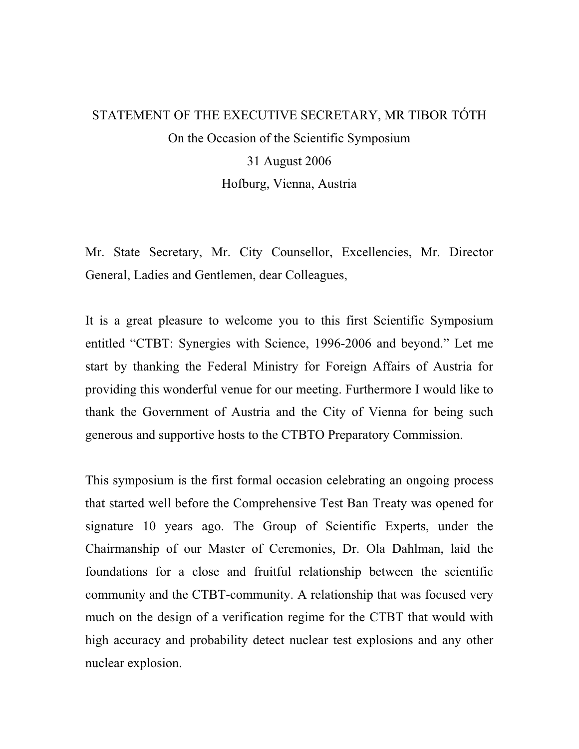## STATEMENT OF THE EXECUTIVE SECRETARY, MR TIBOR TÓTH On the Occasion of the Scientific Symposium 31 August 2006 Hofburg, Vienna, Austria

Mr. State Secretary, Mr. City Counsellor, Excellencies, Mr. Director General, Ladies and Gentlemen, dear Colleagues,

It is a great pleasure to welcome you to this first Scientific Symposium entitled "CTBT: Synergies with Science, 1996-2006 and beyond." Let me start by thanking the Federal Ministry for Foreign Affairs of Austria for providing this wonderful venue for our meeting. Furthermore I would like to thank the Government of Austria and the City of Vienna for being such generous and supportive hosts to the CTBTO Preparatory Commission.

This symposium is the first formal occasion celebrating an ongoing process that started well before the Comprehensive Test Ban Treaty was opened for signature 10 years ago. The Group of Scientific Experts, under the Chairmanship of our Master of Ceremonies, Dr. Ola Dahlman, laid the foundations for a close and fruitful relationship between the scientific community and the CTBT-community. A relationship that was focused very much on the design of a verification regime for the CTBT that would with high accuracy and probability detect nuclear test explosions and any other nuclear explosion.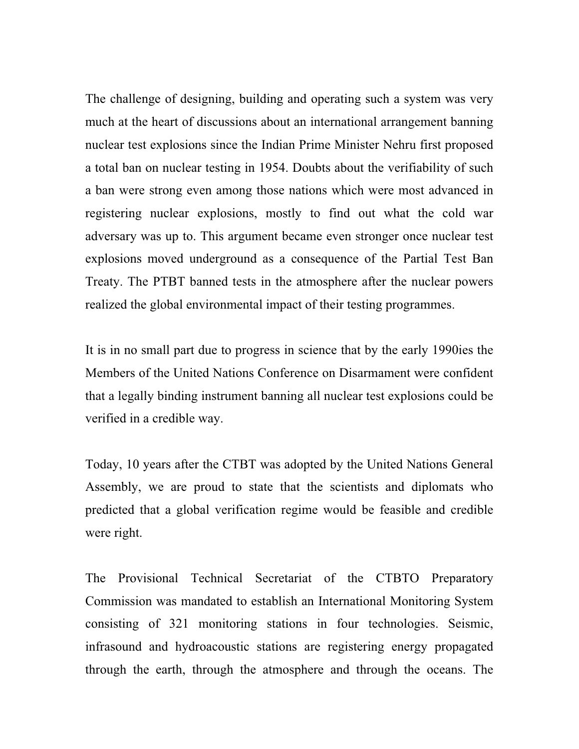The challenge of designing, building and operating such a system was very much at the heart of discussions about an international arrangement banning nuclear test explosions since the Indian Prime Minister Nehru first proposed a total ban on nuclear testing in 1954. Doubts about the verifiability of such a ban were strong even among those nations which were most advanced in registering nuclear explosions, mostly to find out what the cold war adversary was up to. This argument became even stronger once nuclear test explosions moved underground as a consequence of the Partial Test Ban Treaty. The PTBT banned tests in the atmosphere after the nuclear powers realized the global environmental impact of their testing programmes.

It is in no small part due to progress in science that by the early 1990ies the Members of the United Nations Conference on Disarmament were confident that a legally binding instrument banning all nuclear test explosions could be verified in a credible way.

Today, 10 years after the CTBT was adopted by the United Nations General Assembly, we are proud to state that the scientists and diplomats who predicted that a global verification regime would be feasible and credible were right.

The Provisional Technical Secretariat of the CTBTO Preparatory Commission was mandated to establish an International Monitoring System consisting of 321 monitoring stations in four technologies. Seismic, infrasound and hydroacoustic stations are registering energy propagated through the earth, through the atmosphere and through the oceans. The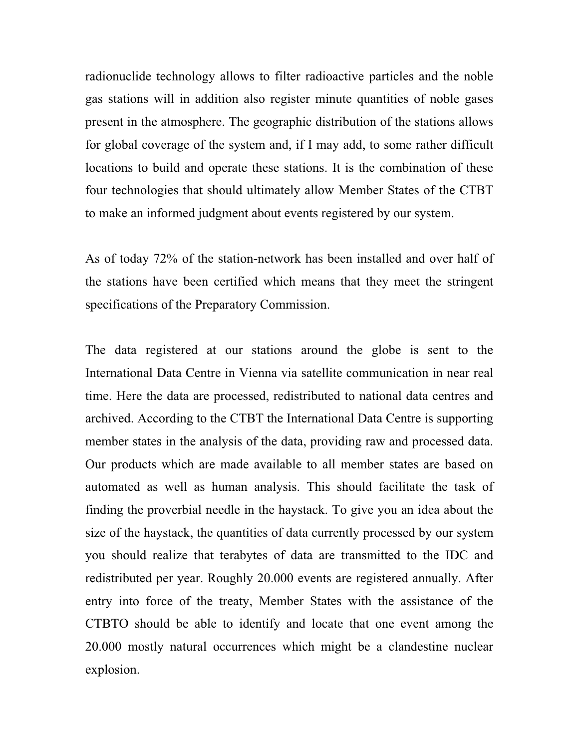radionuclide technology allows to filter radioactive particles and the noble gas stations will in addition also register minute quantities of noble gases present in the atmosphere. The geographic distribution of the stations allows for global coverage of the system and, if I may add, to some rather difficult locations to build and operate these stations. It is the combination of these four technologies that should ultimately allow Member States of the CTBT to make an informed judgment about events registered by our system.

As of today 72% of the station-network has been installed and over half of the stations have been certified which means that they meet the stringent specifications of the Preparatory Commission.

The data registered at our stations around the globe is sent to the International Data Centre in Vienna via satellite communication in near real time. Here the data are processed, redistributed to national data centres and archived. According to the CTBT the International Data Centre is supporting member states in the analysis of the data, providing raw and processed data. Our products which are made available to all member states are based on automated as well as human analysis. This should facilitate the task of finding the proverbial needle in the haystack. To give you an idea about the size of the haystack, the quantities of data currently processed by our system you should realize that terabytes of data are transmitted to the IDC and redistributed per year. Roughly 20.000 events are registered annually. After entry into force of the treaty, Member States with the assistance of the CTBTO should be able to identify and locate that one event among the 20.000 mostly natural occurrences which might be a clandestine nuclear explosion.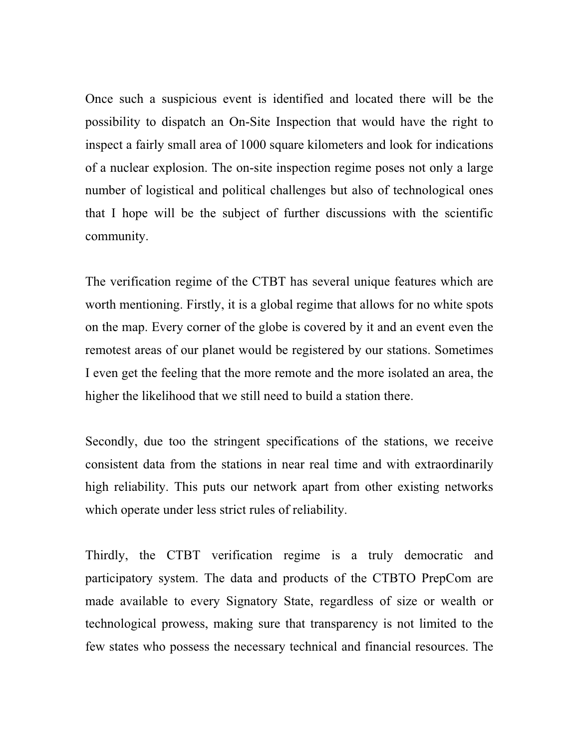Once such a suspicious event is identified and located there will be the possibility to dispatch an On-Site Inspection that would have the right to inspect a fairly small area of 1000 square kilometers and look for indications of a nuclear explosion. The on-site inspection regime poses not only a large number of logistical and political challenges but also of technological ones that I hope will be the subject of further discussions with the scientific community.

The verification regime of the CTBT has several unique features which are worth mentioning. Firstly, it is a global regime that allows for no white spots on the map. Every corner of the globe is covered by it and an event even the remotest areas of our planet would be registered by our stations. Sometimes I even get the feeling that the more remote and the more isolated an area, the higher the likelihood that we still need to build a station there.

Secondly, due too the stringent specifications of the stations, we receive consistent data from the stations in near real time and with extraordinarily high reliability. This puts our network apart from other existing networks which operate under less strict rules of reliability.

Thirdly, the CTBT verification regime is a truly democratic and participatory system. The data and products of the CTBTO PrepCom are made available to every Signatory State, regardless of size or wealth or technological prowess, making sure that transparency is not limited to the few states who possess the necessary technical and financial resources. The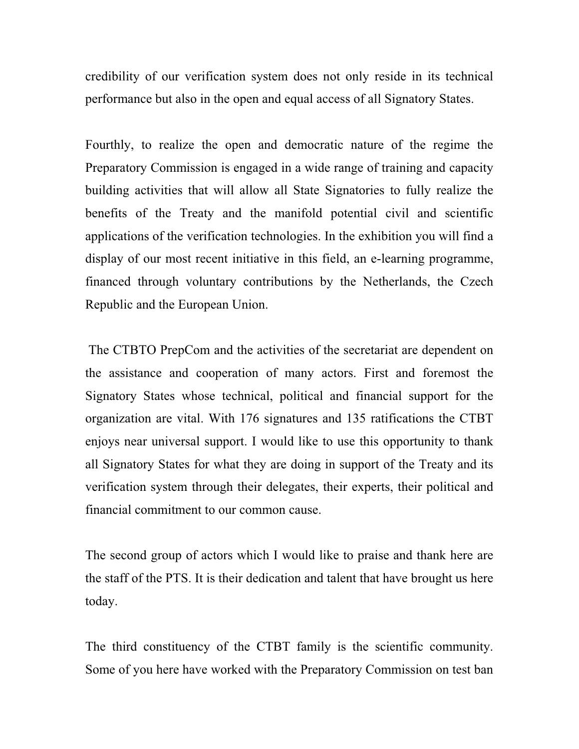credibility of our verification system does not only reside in its technical performance but also in the open and equal access of all Signatory States.

Fourthly, to realize the open and democratic nature of the regime the Preparatory Commission is engaged in a wide range of training and capacity building activities that will allow all State Signatories to fully realize the benefits of the Treaty and the manifold potential civil and scientific applications of the verification technologies. In the exhibition you will find a display of our most recent initiative in this field, an e-learning programme, financed through voluntary contributions by the Netherlands, the Czech Republic and the European Union.

The CTBTO PrepCom and the activities of the secretariat are dependent on the assistance and cooperation of many actors. First and foremost the Signatory States whose technical, political and financial support for the organization are vital. With 176 signatures and 135 ratifications the CTBT enjoys near universal support. I would like to use this opportunity to thank all Signatory States for what they are doing in support of the Treaty and its verification system through their delegates, their experts, their political and financial commitment to our common cause.

The second group of actors which I would like to praise and thank here are the staff of the PTS. It is their dedication and talent that have brought us here today.

The third constituency of the CTBT family is the scientific community. Some of you here have worked with the Preparatory Commission on test ban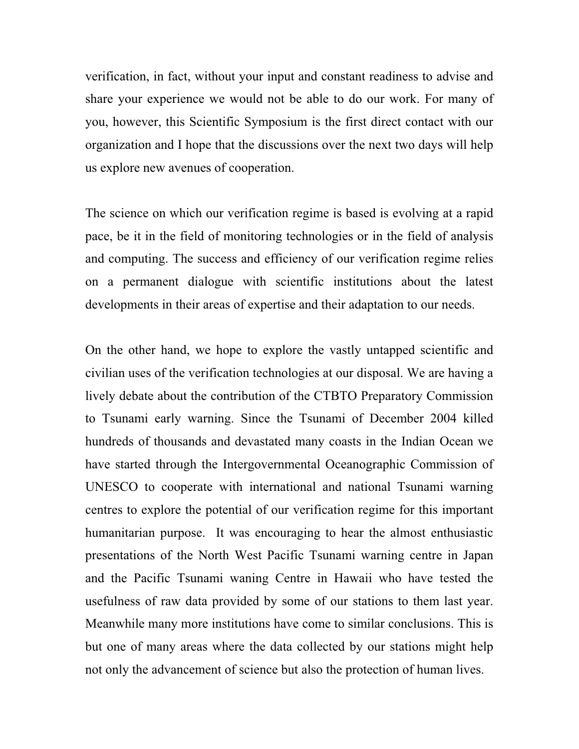verification, in fact, without your input and constant readiness to advise and share your experience we would not be able to do our work. For many of you, however, this Scientific Symposium is the first direct contact with our organization and I hope that the discussions over the next two days will help us explore new avenues of cooperation.

The science on which our verification regime is based is evolving at a rapid pace, be it in the field of monitoring technologies or in the field of analysis and computing. The success and efficiency of our verification regime relies on a permanent dialogue with scientific institutions about the latest developments in their areas of expertise and their adaptation to our needs.

On the other hand, we hope to explore the vastly untapped scientific and civilian uses of the verification technologies at our disposal. We are having a lively debate about the contribution of the CTBTO Preparatory Commission to Tsunami early warning. Since the Tsunami of December 2004 killed hundreds of thousands and devastated many coasts in the Indian Ocean we have started through the Intergovernmental Oceanographic Commission of UNESCO to cooperate with international and national Tsunami warning centres to explore the potential of our verification regime for this important humanitarian purpose. It was encouraging to hear the almost enthusiastic presentations of the North West Pacific Tsunami warning centre in Japan and the Pacific Tsunami waning Centre in Hawaii who have tested the usefulness of raw data provided by some of our stations to them last year. Meanwhile many more institutions have come to similar conclusions. This is but one of many areas where the data collected by our stations might help not only the advancement of science but also the protection of human lives.